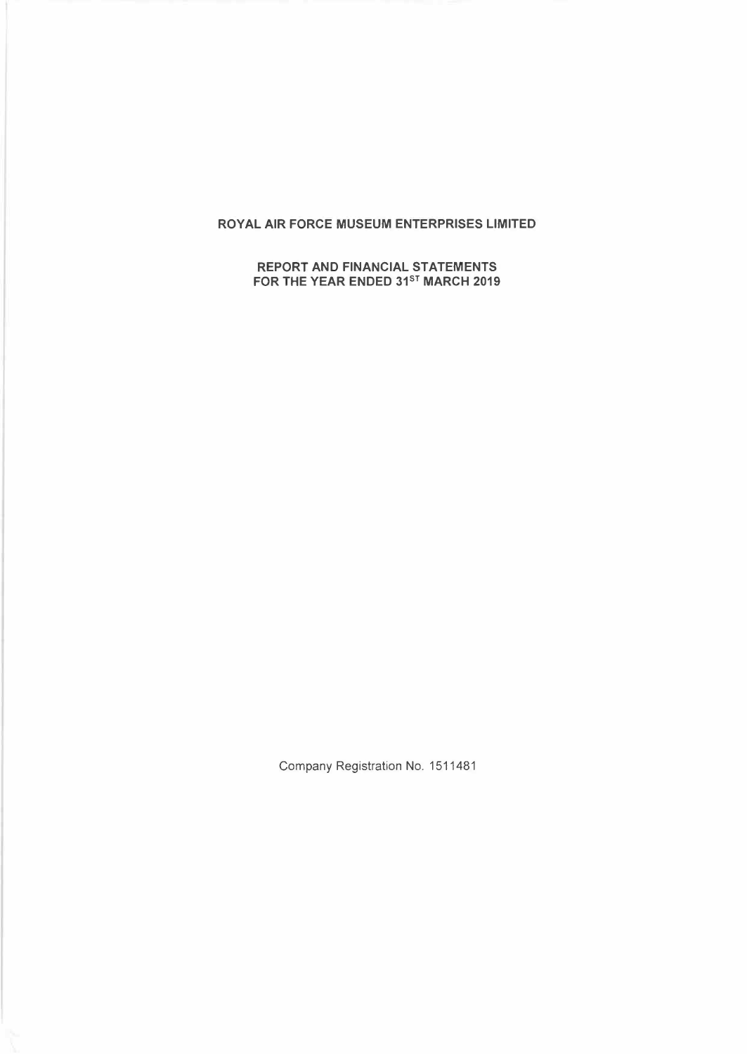**REPORT AND FINANCIAL STATEMENTS**  FOR THE **YEAR ENDED** 31sr **MARCH 2019** 

Company Registration No. 1511481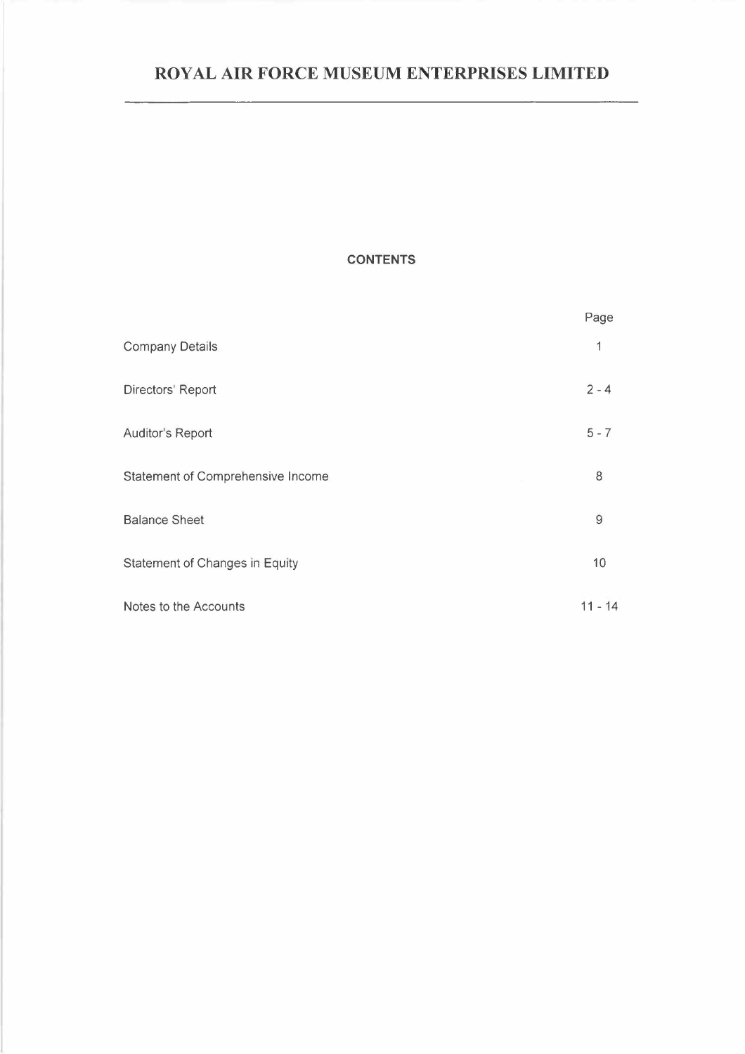# **CONTENTS**

|                                   | Page      |
|-----------------------------------|-----------|
| <b>Company Details</b>            | 1         |
| Directors' Report                 | $2 - 4$   |
| Auditor's Report                  | $5 - 7$   |
| Statement of Comprehensive Income | 8         |
| <b>Balance Sheet</b>              | 9         |
| Statement of Changes in Equity    | 10        |
| Notes to the Accounts             | $11 - 14$ |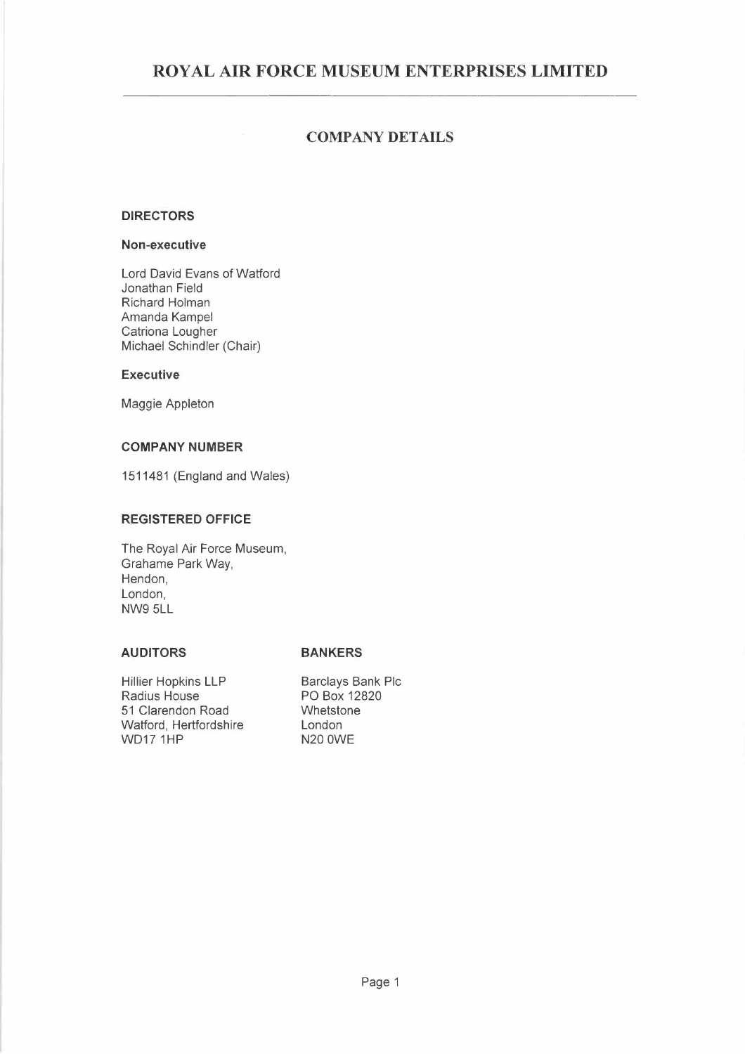# **COMPANY DETAILS**

# **DIRECTORS**

# **Non-executive**

Lord David Evans of Watford Jonathan Field Richard Holman Amanda Kampe! Catriona Lougher Michael Schindler (Chair)

## **Executive**

Maggie Appleton

# **COMPANY NUMBER**

1511481 (England and Wales)

# **REGISTERED OFFICE**

The Royal Air Force Museum, Grahame Park Way, Hendon, London, NW9 5LL

# **AUDITORS**

# **BANKERS**

Hillier Hopkins LLP Radius House 51 Clarendon Road Watford, Hertfordshire WD17 1HP

Barclays Bank Pic PO Box 12820 Whetstone London N20 OWE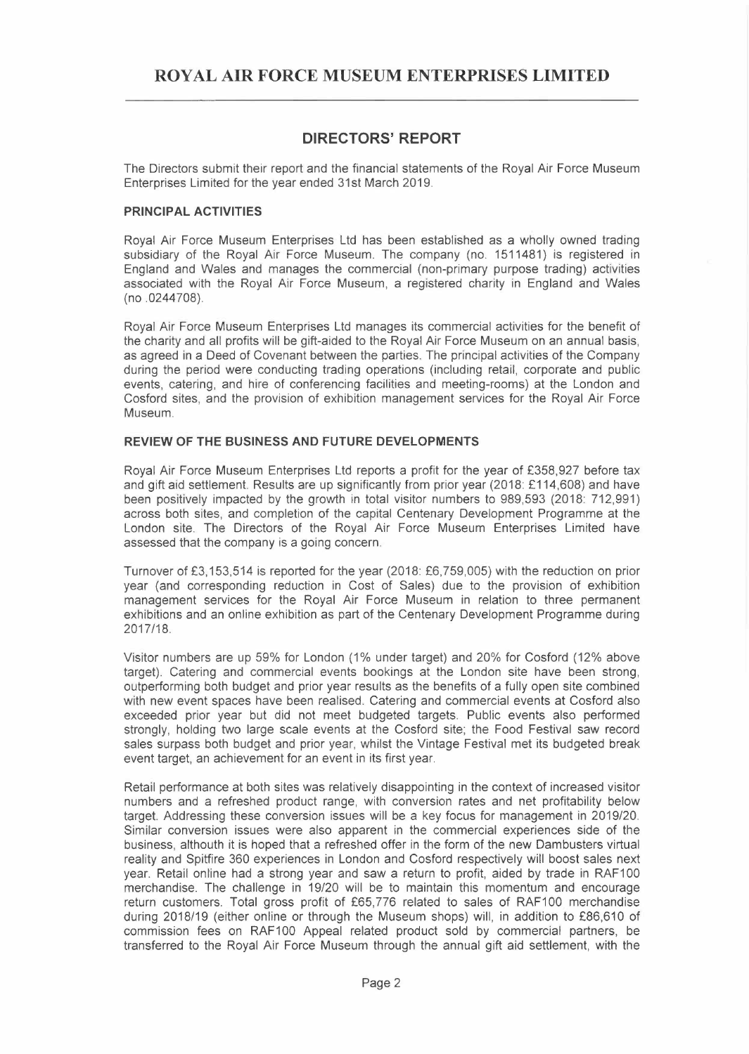# **DIRECTORS' REPORT**

The Directors submit their report and the financial statements of the Royal Air Force Museum Enterprises Limited for the year ended 31st March 2019.

# **PRINCIPAL ACTIVITIES**

Royal Air Force Museum Enterprises Ltd has been established as a wholly owned trading subsidiary of the Royal Air Force Museum. The company (no. 1511481) is registered in England and Wales and manages the commercial (non-primary purpose trading) activities associated with the Royal Air Force Museum, a registered charity in England and Wales (no .0244708).

Royal Air Force Museum Enterprises Ltd manages its commercial activities for the benefit of the charity and all profits will be gift-aided to the Royal Air Force Museum on an annual basis, as agreed in a Deed of Covenant between the parties. The principal activities of the Company during the period were conducting trading operations (including retail, corporate and public events, catering, and hire of conferencing facilities and meeting-rooms) at the London and Cosford sites, and the provision of exhibition management services for the Royal Air Force Museum.

# **REVIEW OF THE BUSINESS AND FUTURE DEVELOPMENTS**

Royal Air Force Museum Enterprises Ltd reports a profit for the year of £358,927 before tax and gift aid settlement. Results are up significantly from prior year (2018: £114,608) and have been positively impacted by the growth in total visitor numbers to 989,593 (2018: 712,991) across both sites, and completion of the capital Centenary Development Programme at the London site. The Directors of the Royal Air Force Museum Enterprises Limited have assessed that the company is a going concern.

Turnover of £3,153,514 is reported for the year (2018: £6,759,005) with the reduction on prior year (and corresponding reduction in Cost of Sales) due to the provision of exhibition management services for the Royal Air Force Museum in relation to three permanent exhibitions and an online exhibition as part of the Centenary Development Programme during 2017/18.

Visitor numbers are up 59% for London (1% under target) and 20% for Costard (12% above target). Catering and commercial events bookings at the London site have been strong, outperforming both budget and prior year results as the benefits of a fully open site combined with new event spaces have been realised. Catering and commercial events at Cosford also exceeded prior year but did not meet budgeted targets. Public events also performed strongly, holding two large scale events at the Cosford site; the Food Festival saw record sales surpass both budget and prior year, whilst the Vintage Festival met its budgeted break event target, an achievement for an event in its first year.

Retail performance at both sites was relatively disappointing in the context of increased visitor numbers and a refreshed product range, with conversion rates and net profitability below target. Addressing these conversion issues will be a key focus for management in 2019/20. Similar conversion issues were also apparent in the commercial experiences side of the business, althouth it is hoped that a refreshed offer in the form of the new Dambusters virtual reality and Spitfire 360 experiences in London and Cosford respectively will boost sales next year. Retail online had a strong year and saw a return to profit, aided by trade in RAF100 merchandise. The challenge in 19/20 will be to maintain this momentum and encourage return customers. Total gross profit of £65,776 related to sales of RAF100 merchandise during 2018/19 (either online or through the Museum shops) will, in addition to £86,610 of commission fees on RAF100 Appeal related product sold by commercial partners, be transferred to the Royal Air Force Museum through the annual gift aid settlement, with the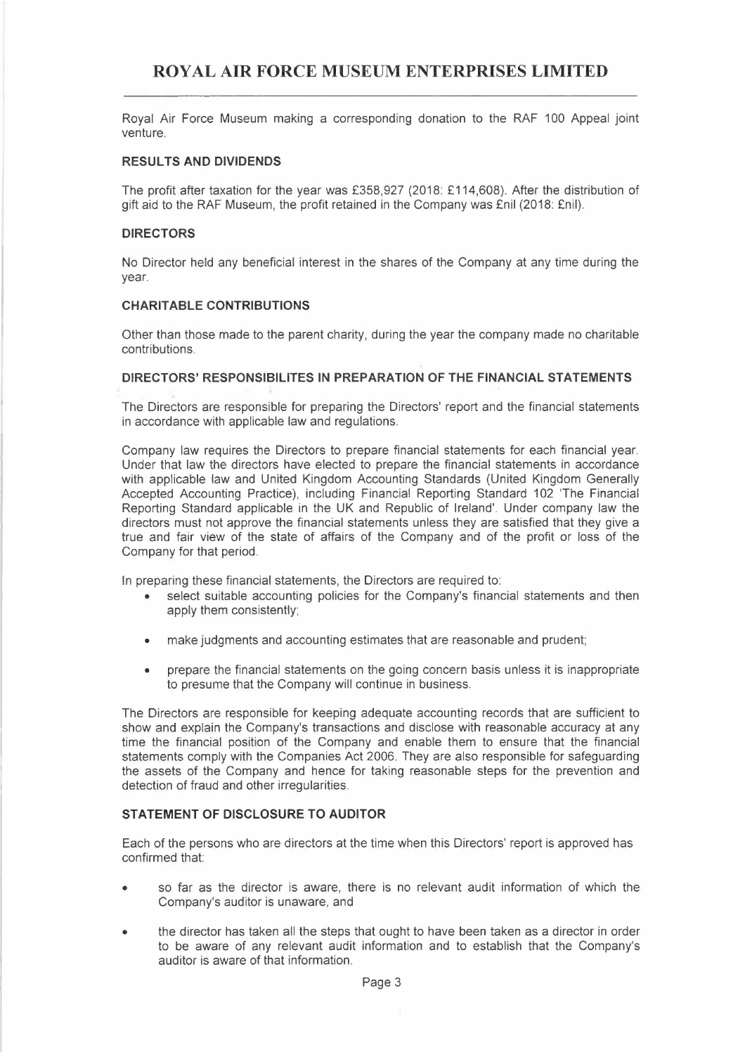Royal Air Force Museum making a corresponding donation to the RAF 100 Appeal joint venture.

#### **RESULTS AND DIVIDENDS**

The profit after taxation for the year was £358,927 (2018: £114,608). After the distribution of gift aid to the RAF Museum, the profit retained in the Company was £nil (2018: £nil).

## **DIRECTORS**

No Director held any beneficial interest in the shares of the Company at any time during the year.

#### **CHA RIT ABLE CONTRIBUTIONS**

Other than those made to the parent charity, during the year the company made no charitable contributions.

# **DIRECTORS' RESPONSIBILITES IN PREPARATION OF THE FINANCIAL STATEMENTS**

The Directors are responsible for preparing the Directors' report and the financial statements in accordance with applicable law and regulations.

Company law requires the Directors to prepare financial statements for each financial year. Under that law the directors have elected to prepare the financial statements in accordance with applicable law and United Kingdom Accounting Standards (United Kingdom Generally Accepted Accounting Practice), including Financial Reporting Standard 102 'The Financial Reporting Standard applicable in the UK and Republic of Ireland'. Under company law the directors must not approve the financial statements unless they are satisfied that they give a true and fair view of the state of affairs of the Company and of the profit or loss of the Company for that period.

In preparing these financial statements, the Directors are required to:

- select suitable accounting policies for the Company's financial statements and then apply them consistently;
- make judgments and accounting estimates that are reasonable and prudent:
- prepare the financial statements on the going concern basis unless it is inappropriate to presume that the Company will continue in business.

The Directors are responsible for keeping adequate accounting records that are sufficient to show and explain the Company's transactions and disclose with reasonable accuracy at any time the financial position of the Company and enable them to ensure that the financial statements comply with the Companies Act 2006. They are also responsible for safeguarding the assets of the Company and hence for taking reasonable steps for the prevention and detection of fraud and other irregularities.

## **STATEMENT OF DISCLOSURE TO AUDITOR**

Each of the persons who are directors at the time when this Directors' report is approved has confirmed that:

- so far as the director is aware, there is no relevant audit information of which the Company's auditor is unaware, and
- the director has taken all the steps that ought to have been taken as a director in order to be aware of any relevant audit information and to establish that the Company's auditor is aware of that information.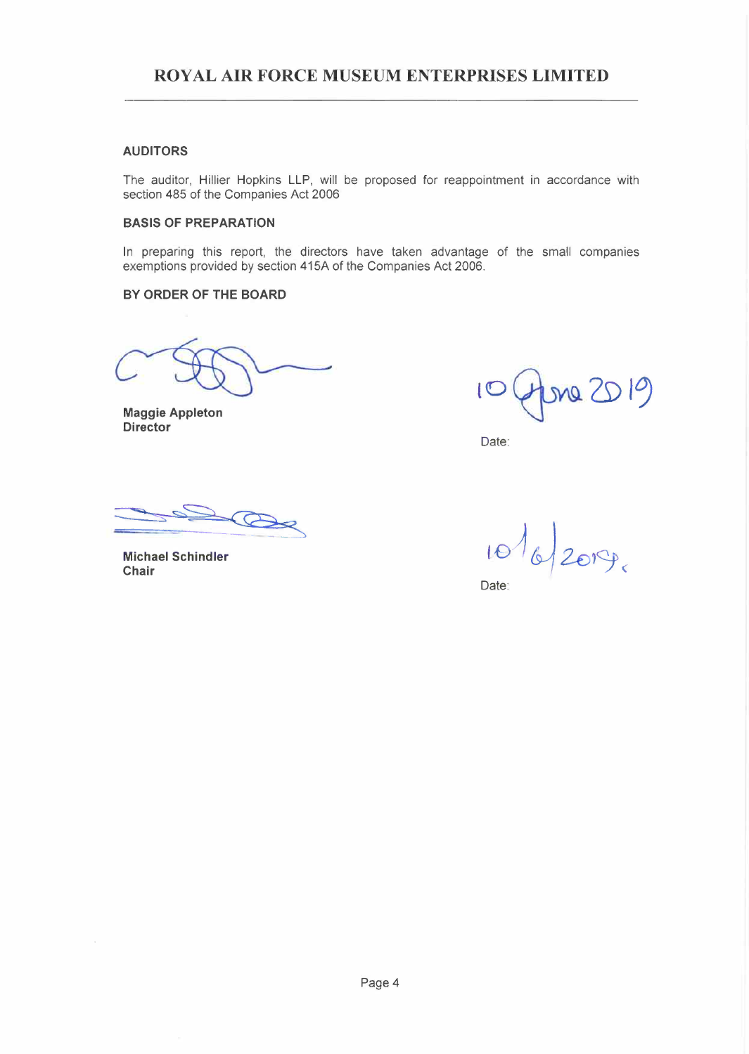# **AUDITORS**

The auditor, Hillier Hopkins LLP, will be proposed for reappointment in accordance with section 485 of the Companies Act 2006

# **BASIS OF PREPARATION**

In preparing this report, the directors have taken advantage of the small companies exemptions provided by section 415A of the Companies Act 2006.

# **BY ORDER OF THE BOARD**

**Maggie Appleton Director** 

 $10 (4)$ me  $2019$ 

Date:

DO

**Michael Schindler Chair** 

 $\epsilon$ 

 $10^{16}$  2019.

Date: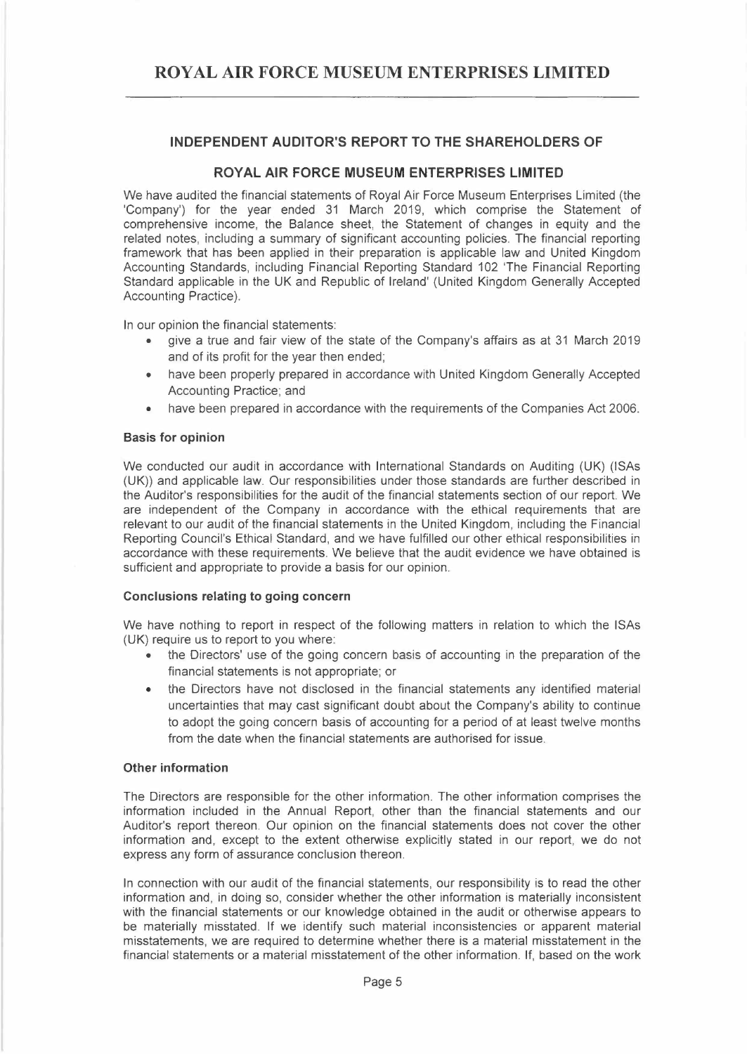# **INDEPENDENT AUDITOR'S REPORT TO THE SHAREHOLDERS OF**

# **ROYAL AIR FORCE MUSEUM ENTERPRISES LIMITED**

We have audited the financial statements of Royal Air Force Museum Enterprises Limited (the 'Company') for the year ended 31 March 2019, which comprise the Statement of comprehensive income, the Balance sheet, the Statement of changes in equity and the related notes, including a summary of significant accounting policies. The financial reporting framework that has been applied in their preparation is applicable law and United Kingdom Accounting Standards, including Financial Reporting Standard 102 'The Financial Reporting Standard applicable in the UK and Republic of Ireland' (United Kingdom Generally Accepted Accounting Practice).

In our opinion the financial statements:

- give a true and fair view of the state of the Company's affairs as at 31 March 2019 and of its profit for the year then ended;
- have been properly prepared in accordance with United Kingdom Generally Accepted Accounting Practice; and
- have been prepared in accordance with the requirements of the Companies Act 2006.

# **Basis for opinion**

We conducted our audit in accordance with International Standards on Auditing (UK) (ISAs (UK)) and applicable law. Our responsibilities under those standards are further described in the Auditor's responsibilities for the audit of the financial statements section of our report. We are independent of the Company in accordance with the ethical requirements that are relevant to our audit of the financial statements in the United Kingdom, including the Financial Reporting Council's Ethical Standard, and we have fulfilled our other ethical responsibilities in accordance with these requirements. We believe that the audit evidence we have obtained is sufficient and appropriate to provide a basis for our opinion.

## **Conclusions relating to going concern**

We have nothing to report in respect of the following matters in relation to which the ISAs (UK) require us to report to you where:

- the Directors' use of the going concern basis of accounting in the preparation of the financial statements is not appropriate; or
- the Directors have not disclosed in the financial statements any identified material uncertainties that may cast significant doubt about the Company's ability to continue to adopt the going concern basis of accounting for a period of at least twelve months from the date when the financial statements are authorised for issue.

## **Other information**

The Directors are responsible for the other information. The other information comprises the information included in the Annual Report, other than the financial statements and our Auditor's report thereon. Our opinion on the financial statements does not cover the other information and, except to the extent otherwise explicitly stated in our report, we do not express any form of assurance conclusion thereon.

In connection with our audit of the financial statements, our responsibility is to read the other information and, in doing so, consider whether the other information is materially inconsistent with the financial statements or our knowledge obtained in the audit or otherwise appears to be materially misstated. If we identify such material inconsistencies or apparent material misstatements, we are required to determine whether there is a material misstatement in the financial statements or a material misstatement of the other information. If, based on the work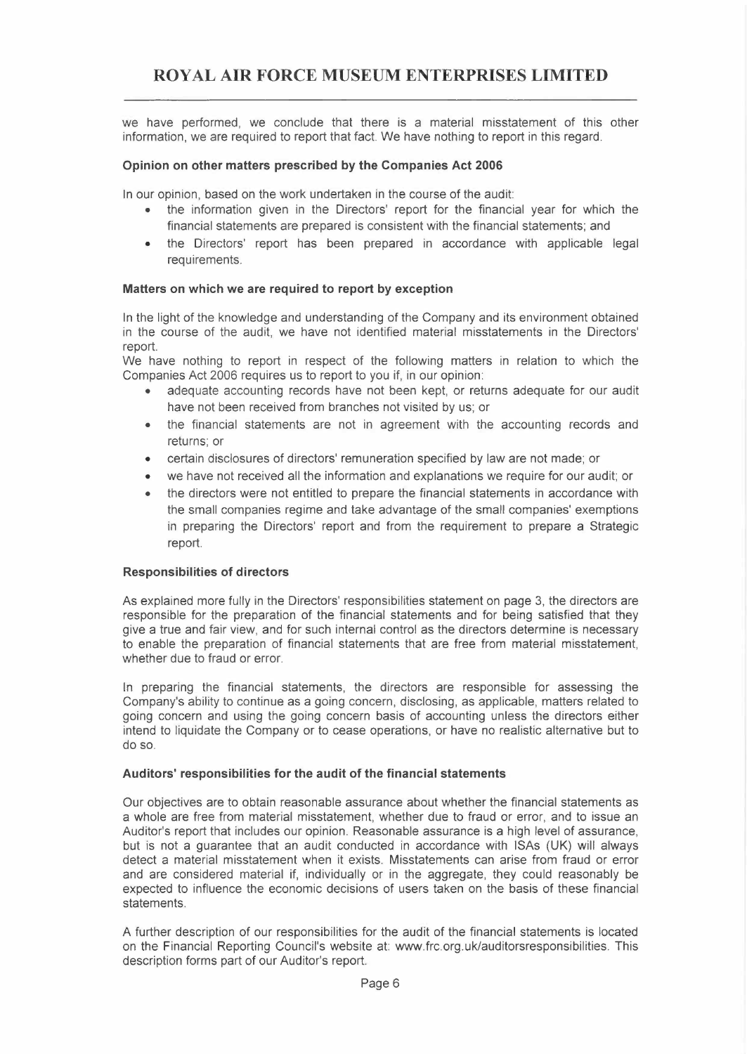we have performed, we conclude that there is a material misstatement of this other information, we are required to report that fact. We have nothing to report in this regard.

# **Opinion on other matters prescribed by the Companies Act 2006**

In our opinion, based on the work undertaken in the course of the audit:

- the information given in the Directors' report for the financial year for which the financial statements are prepared is consistent with the financial statements; and
- the Directors' report has been prepared in accordance with applicable legal requirements.

# **Matters on which we are required to report by exception**

In the light of the knowledge and understanding of the Company and its environment obtained in the course of the audit, we have not identified material misstatements in the Directors' report.

We have nothing to report in respect of the following matters in relation to which the Companies Act 2006 requires us to report to you if, in our opinion:

- adequate accounting records have not been kept, or returns adequate for our audit have not been received from branches not visited by us; or
- the financial statements are not in agreement with the accounting records and returns; or
- certain disclosures of directors' remuneration specified by law are not made; or
- we have not received all the information and explanations we require for our audit; or
- the directors were not entitled to prepare the financial statements in accordance with the small companies regime and take advantage of the small companies' exemptions in preparing the Directors' report and from the requirement to prepare a Strategic report.

## **Responsibilities of directors**

As explained more fully in the Directors' responsibilities statement on page 3, the directors are responsible for the preparation of the financial statements and for being satisfied that they give a true and fair view, and for such internal control as the directors determine is necessary to enable the preparation of financial statements that are free from material misstatement, whether due to fraud or error.

In preparing the financial statements, the directors are responsible for assessing the Company's ability to continue as a going concern, disclosing, as applicable, matters related to going concern and using the going concern basis of accounting unless the directors either intend to liquidate the Company or to cease operations, or have no realistic alternative but to do so.

## **Auditors' responsibilities for the audit of the financial statements**

Our objectives are to obtain reasonable assurance about whether the financial statements as a whole are free from material misstatement, whether due to fraud or error, and to issue an Auditor's report that includes our opinion. Reasonable assurance is a high level of assurance, but is not a guarantee that an audit conducted in accordance with ISAs (UK) will always detect a material misstatement when it exists. Misstatements can arise from fraud or error and are considered material if, individually or in the aggregate, they could reasonably be expected to influence the economic decisions of users taken on the basis of these financial statements.

A further description of our responsibilities for the audit of the financial statements is located on the Financial Reporting Council's website at: www.frc.org.uk/auditorsresponsibilities. This description forms part of our Auditor's report.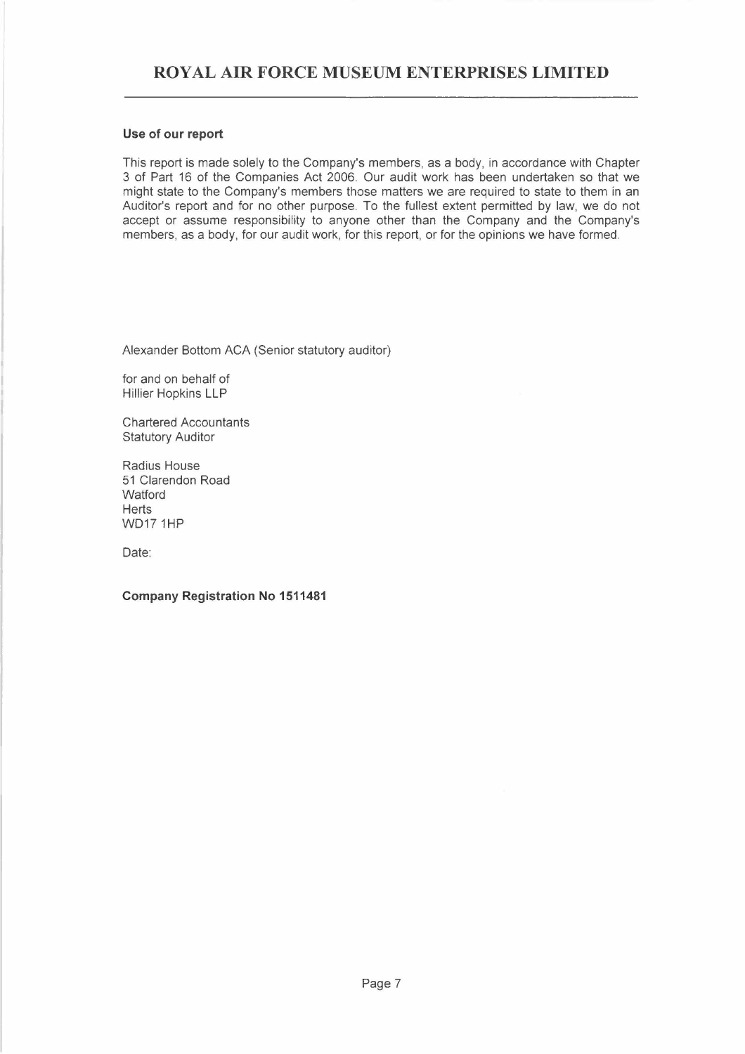# **Use of our report**

This report is made solely to the Company's members, as a body, in accordance with Chapter 3 of Part 16 of the Companies Act 2006. Our audit work has been undertaken so that we might state to the Company's members those matters we are required to state to them in an Auditor's report and for no other purpose. To the fullest extent permitted by law, we do not accept or assume responsibility to anyone other than the Company and the Company's members, as a body, for our audit work, for this report, or for the opinions we have formed.

Alexander Bottom ACA (Senior statutory auditor)

for and on behalf of Hillier Hopkins **LLP** 

Chartered Accountants Statutory Auditor

Radius House 51 Clarendon Road **Watford Herts** WD17 1HP

Date:

**Company Registration No 1511481**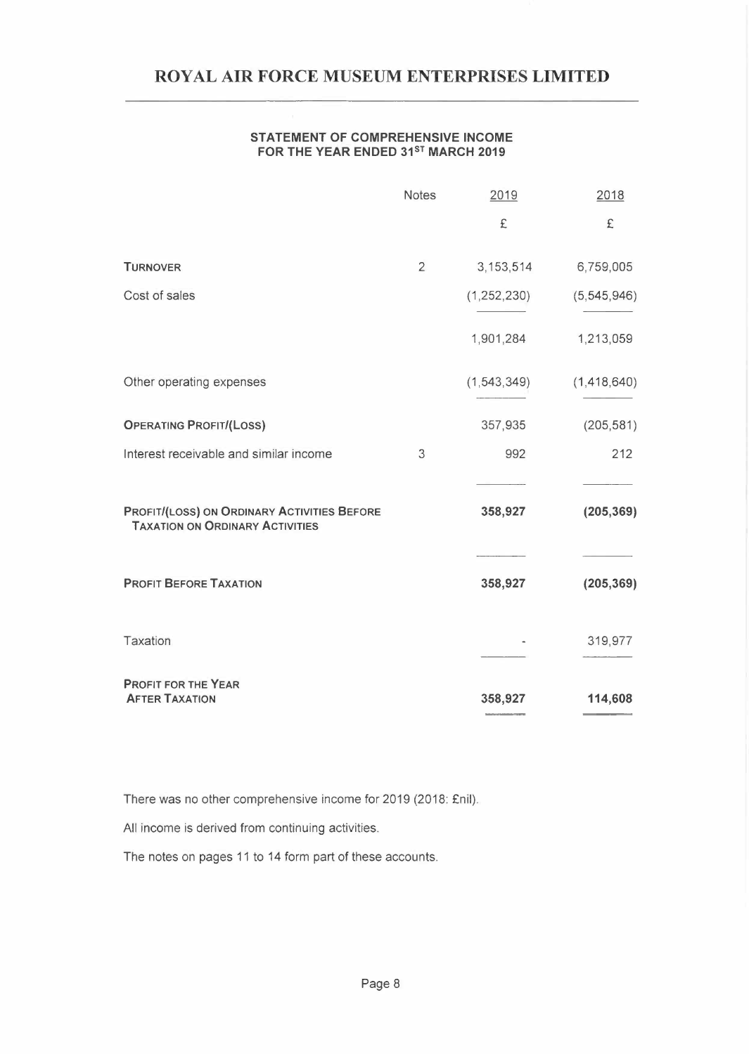# **STATEMENT OF COMPREHENSIVE INCOME FOR THE YEAR ENDED 31sr MARCH 2019**

|                                                                                       | <b>Notes</b>   | 2019          | 2018          |
|---------------------------------------------------------------------------------------|----------------|---------------|---------------|
|                                                                                       |                | £             | £             |
| <b>TURNOVER</b>                                                                       | $\overline{2}$ | 3, 153, 514   | 6,759,005     |
| Cost of sales                                                                         |                | (1,252,230)   | (5, 545, 946) |
|                                                                                       |                | 1,901,284     | 1,213,059     |
| Other operating expenses                                                              |                | (1, 543, 349) | (1,418,640)   |
| <b>OPERATING PROFIT/(LOSS)</b>                                                        |                | 357,935       | (205, 581)    |
| Interest receivable and similar income                                                | 3              | 992           | 212           |
| PROFIT/(LOSS) ON ORDINARY ACTIVITIES BEFORE<br><b>TAXATION ON ORDINARY ACTIVITIES</b> |                | 358,927       | (205, 369)    |
| <b>PROFIT BEFORE TAXATION</b>                                                         |                | 358,927       | (205, 369)    |
| Taxation                                                                              |                |               | 319,977       |
| <b>PROFIT FOR THE YEAR</b><br><b>AFTER TAXATION</b>                                   |                | 358,927       | 114,608       |

There was no other comprehensive income for 2019 (2018: £nil).

All income is derived from continuing activities.

The notes on pages 11 to 14 form part of these accounts.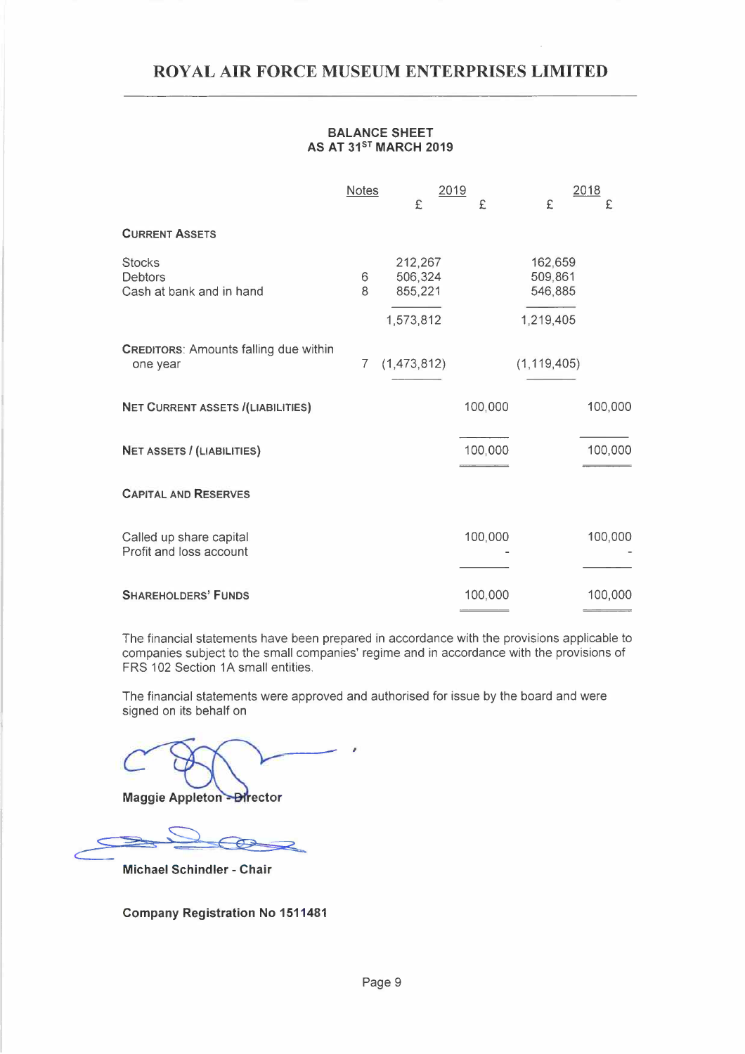|                                                          | <b>Notes</b> | £                             | 2019<br>£ | £                             | 2018<br>£ |
|----------------------------------------------------------|--------------|-------------------------------|-----------|-------------------------------|-----------|
| <b>CURRENT ASSETS</b>                                    |              |                               |           |                               |           |
| <b>Stocks</b><br>Debtors<br>Cash at bank and in hand     | 6<br>8       | 212,267<br>506,324<br>855,221 |           | 162,659<br>509,861<br>546,885 |           |
|                                                          |              | 1,573,812                     |           | 1,219,405                     |           |
| <b>CREDITORS: Amounts falling due within</b><br>one year | 7            | (1, 473, 812)                 |           | (1, 119, 405)                 |           |
| <b>NET CURRENT ASSETS /(LIABILITIES)</b>                 |              |                               | 100,000   |                               | 100,000   |
| NET ASSETS / (LIABILITIES)                               |              |                               | 100,000   |                               | 100,000   |
| <b>CAPITAL AND RESERVES</b>                              |              |                               |           |                               |           |
| Called up share capital<br>Profit and loss account       |              |                               | 100,000   |                               | 100,000   |
| <b>SHAREHOLDERS' FUNDS</b>                               |              |                               | 100,000   |                               | 100,000   |

# **BALANCE SHEET AS AT 31sr MARCH 2019**

The financial statements have been prepared in accordance with the provisions applicable to companies subject to the small companies' regime and in accordance with the provisions of FRS 102 Section 1A small entities.

The financial statements were approved and authorised for issue by the board and were signed on its behalf on

,

Maggie Appleton - Director

**Michael Schindler - Chair** 

**Company Registration No 1511481**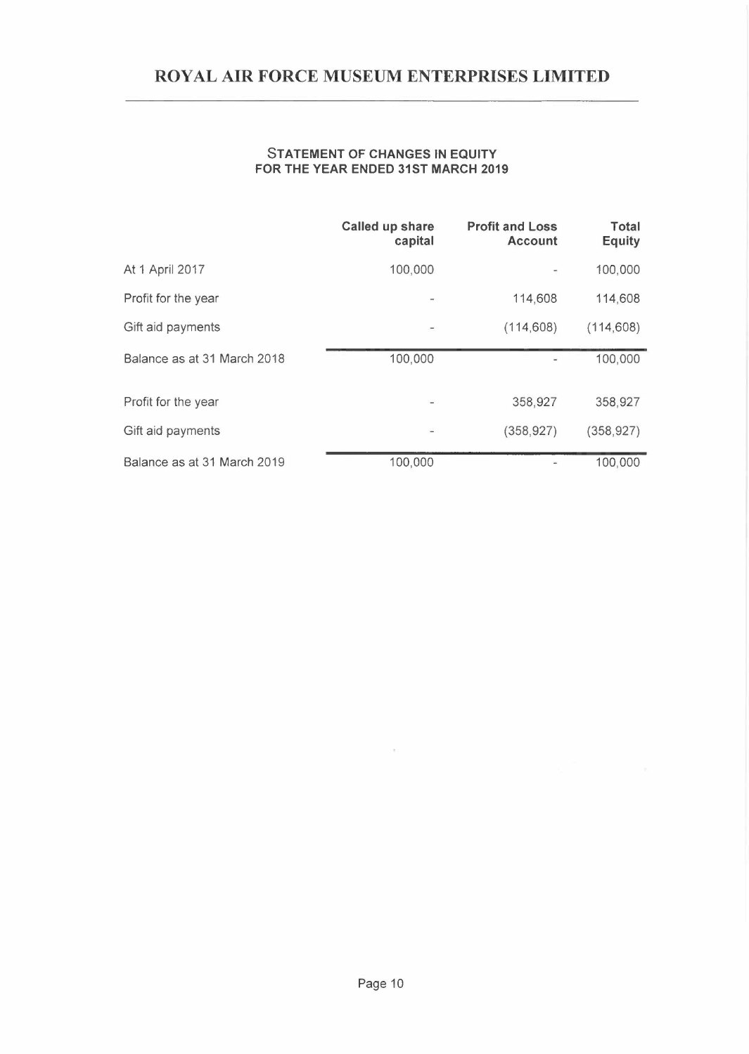# **STATEMENT OF CHANGES IN EQUITY FOR THE YEAR ENDED 31ST MARCH 2019**

|                             | Called up share<br>capital | <b>Profit and Loss</b><br><b>Account</b> | <b>Total</b><br><b>Equity</b> |
|-----------------------------|----------------------------|------------------------------------------|-------------------------------|
| At 1 April 2017             | 100,000                    |                                          | 100,000                       |
| Profit for the year         |                            | 114,608                                  | 114,608                       |
| Gift aid payments           |                            | (114, 608)                               | (114, 608)                    |
| Balance as at 31 March 2018 | 100,000                    |                                          | 100,000                       |
| Profit for the year         |                            | 358,927                                  | 358,927                       |
| Gift aid payments           |                            | (358, 927)                               | (358, 927)                    |
| Balance as at 31 March 2019 | 100,000                    |                                          | 100,000                       |

 $\bar{N}$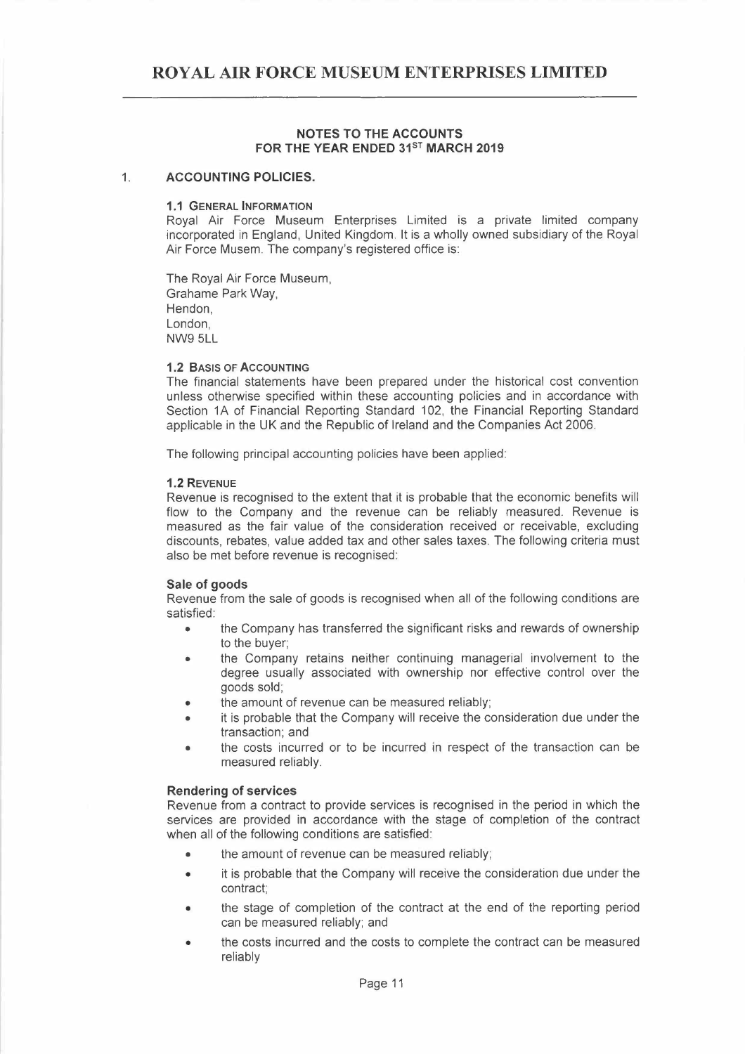## **NOTES TO THE ACCOUNTS FOR THE YEAR ENDED 31ST MARCH 2019**

# 1. **ACCOUNTING POLICIES.**

# **1.1 GENERAL INFORMATION**

Royal Air Force Museum Enterprises Limited is a private limited company incorporated in England, United Kingdom. It is a wholly owned subsidiary of the Royal Air Force Musem. The company's registered office is:

The Royal Air Force Museum, Grahame Park Way, Hendon, London, NW9 5LL

#### **1.2 BASIS OF ACCOUNTING**

The financial statements have been prepared under the historical cost convention unless otherwise specified within these accounting policies and in accordance with Section 1A of Financial Reporting Standard 102, the Financial Reporting Standard applicable in the UK and the Republic of Ireland and the Companies Act 2006.

The following principal accounting policies have been applied:

#### **1.2 REVENUE**

Revenue is recognised to the extent that it is probable that the economic benefits will flow to the Company and the revenue can be reliably measured. Revenue is measured as the fair value of the consideration received or receivable, excluding discounts, rebates, value added tax and other sales taxes. The following criteria must also be met before revenue is recognised:

## **Sale of goods**

Revenue from the sale of goods is recognised when all of the following conditions are satisfied:

- the Company has transferred the significant risks and rewards of ownership to the buyer;
- the Company retains neither continuing managerial involvement to the degree usually associated with ownership nor effective control over the goods sold;
- the amount of revenue can be measured reliably;
- it is probable that the Company will receive the consideration due under the transaction; and
- the costs incurred or to be incurred in respect of the transaction can be measured reliably.

#### **Rendering of services**

Revenue from a contract to provide services is recognised in the period in which the services are provided in accordance with the stage of completion of the contract when all of the following conditions are satisfied:

- the amount of revenue can be measured reliably;
- it is probable that the Company will receive the consideration due under the contract;
- the stage of completion of the contract at the end of the reporting period can be measured reliably; and
- the costs incurred and the costs to complete the contract can be measured reliably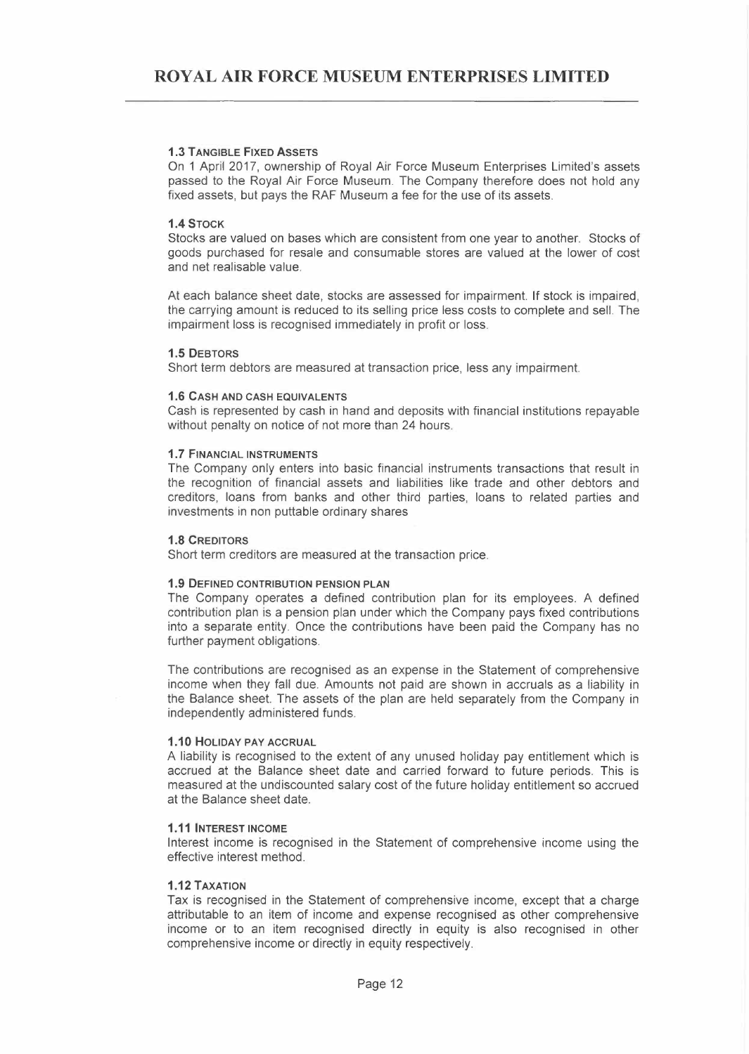# **1.3 TANGIBLE FIXED ASSETS**

On 1 April 2017, ownership of Royal Air Force Museum Enterprises Limited's assets passed to the Royal Air Force Museum. The Company therefore does not hold any fixed assets, but pays the RAF Museum a fee for the use of its assets.

# **1.4 STOCK**

Stocks are valued on bases which are consistent from one year to another. Stocks of goods purchased for resale and consumable stores are valued at the lower of cost and net realisable value.

At each balance sheet date, stocks are assessed for impairment. If stock is impaired, the carrying amount is reduced to its selling price less costs to complete and sell. The impairment loss is recognised immediately in profit or loss.

## **1.5 DEBTORS**

Short term debtors are measured at transaction price, less any impairment.

## **1.6 CASH AND CASH EQUIVALENTS**

Cash is represented by cash in hand and deposits with financial institutions repayable without penalty on notice of not more than 24 hours.

## **1.7 FINANCIAL INSTRUMENTS**

The Company only enters into basic financial instruments transactions that result in the recognition of financial assets and liabilities like trade and other debtors and creditors, loans from banks and other third parties, loans to related parties and investments in non puttable ordinary shares

## **1.8 CREDITORS**

Short term creditors are measured at the transaction price.

## **1.9 DEFINED CONTRIBUTION PENSION PLAN**

The Company operates a defined contribution plan for its employees. A defined contribution plan is a pension plan under which the Company pays fixed contributions into a separate entity. Once the contributions have been paid the Company has no further payment obligations.

The contributions are recognised as an expense in the Statement of comprehensive income when they fall due. Amounts not paid are shown in accruals as a liability in the Balance sheet. The assets of the plan are held separately from the Company in independently administered funds.

## **1.10 HOLIDAY PAY ACCRUAL**

A liability is recognised to the extent of any unused holiday pay entitlement which is accrued at the Balance sheet date and carried forward to future periods. This is measured at the undiscounted salary cost of the future holiday entitlement so accrued at the Balance sheet date.

## **1.11 INTEREST INCOME**

Interest income is recognised in the Statement of comprehensive income using the effective interest method.

## **1.12 TAXATION**

Tax is recognised in the Statement of comprehensive income, except that a charge attributable to an item of income and expense recognised as other comprehensive income or to an item recognised directly in equity is also recognised in other comprehensive income or directly in equity respectively.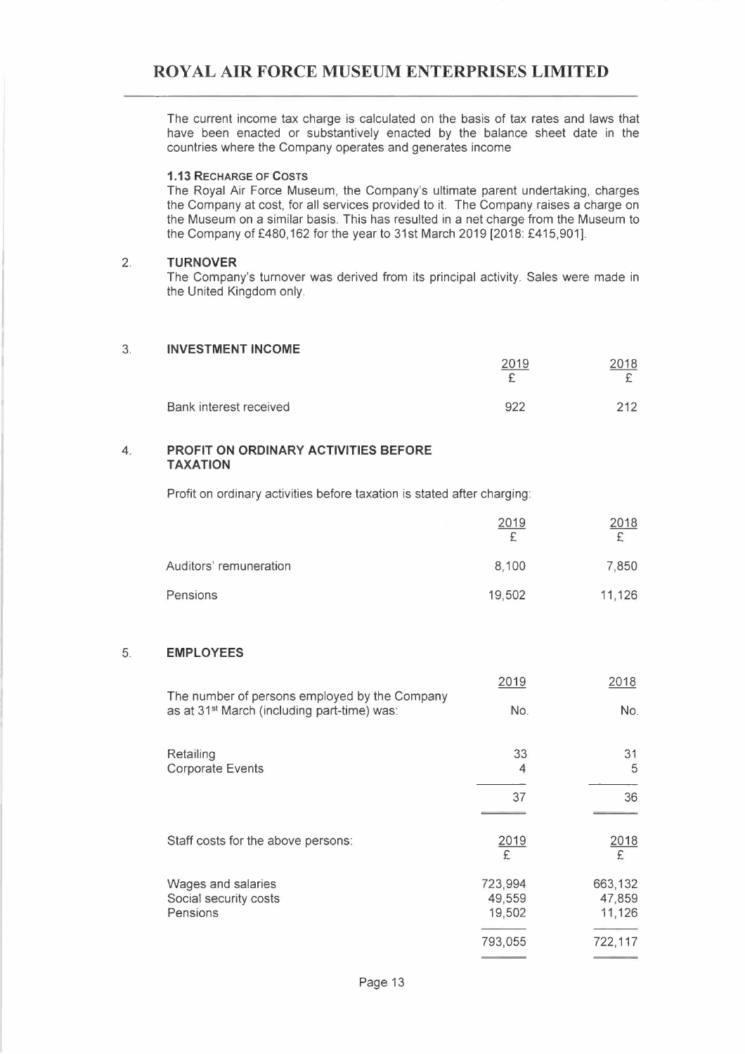The current income tax charge is calculated on the basis of tax rates and laws that have been enacted or substantively enacted by the balance sheet date in the countries where the Company operates and generates income

# **1.13 RECHARGE OF COSTS**

The Royal Air Force Museum, the Company's ultimate parent undertaking, charges the Company at cost, for all services provided to it. The Company raises a charge on the Museum on a similar basis. This has resulted in a net charge from the Museum to the Company of £480,162 for the year to 31st March 2019 [2018: £415,901].

# 2. **TURNOVER**

The Company's turnover was derived from its principal activity. Sales were made in the United Kingdom only.

# 3. **INVESTMENT INCOME**

|                        | 2019 | 2018<br>~ |
|------------------------|------|-----------|
| Bank interest received | 922  | 212       |

#### 4. **PROFIT ON ORDINARY ACTIVITIES BEFORE TAXATION**

Profit on ordinary activities before taxation is stated after charging:

|                        | 2019   | 2018   |
|------------------------|--------|--------|
| Auditors' remuneration | 8,100  | 7,850  |
| Pensions               | 19,502 | 11,126 |

# 5. **EMPLOYEES**

| 2019             | 2018             |
|------------------|------------------|
| No.              | No.              |
| 33<br>4          | 31<br>5          |
| 37               | 36               |
| <u>2019</u><br>£ | 2018<br>£        |
| 723,994          | 663,132          |
|                  | 47,859           |
|                  | 11,126           |
| 793,055          | 722,117          |
|                  | 49,559<br>19,502 |